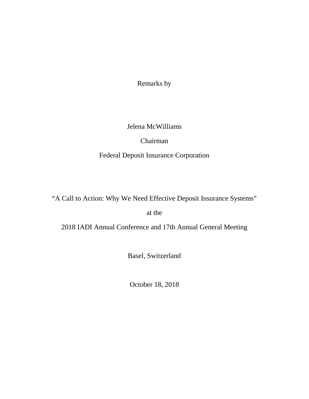Remarks by

#### Jelena McWilliams

Chairman Federal Deposit Insurance Corporation

"A Call to Action: Why We Need Effective Deposit Insurance Systems"

at the

[2018 IADI Annual Conference and 17th Annual General Meeting](https://www.iadi.org/en/events/2018-iadi-annual-conference-and-17th-annual-general-meeting/)

Basel, Switzerland

October 18, 2018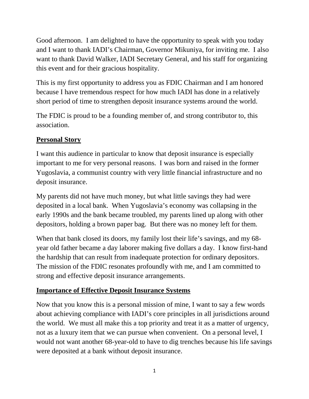Good afternoon. I am delighted to have the opportunity to speak with you today and I want to thank IADI's Chairman, Governor Mikuniya, for inviting me. I also want to thank David Walker, IADI Secretary General, and his staff for organizing this event and for their gracious hospitality.

This is my first opportunity to address you as FDIC Chairman and I am honored because I have tremendous respect for how much IADI has done in a relatively short period of time to strengthen deposit insurance systems around the world.

The FDIC is proud to be a founding member of, and strong contributor to, this association.

## **Personal Story**

I want this audience in particular to know that deposit insurance is especially important to me for very personal reasons. I was born and raised in the former Yugoslavia, a communist country with very little financial infrastructure and no deposit insurance.

My parents did not have much money, but what little savings they had were deposited in a local bank. When Yugoslavia's economy was collapsing in the early 1990s and the bank became troubled, my parents lined up along with other depositors, holding a brown paper bag. But there was no money left for them.

When that bank closed its doors, my family lost their life's savings, and my 68 year old father became a day laborer making five dollars a day. I know first-hand the hardship that can result from inadequate protection for ordinary depositors. The mission of the FDIC resonates profoundly with me, and I am committed to strong and effective deposit insurance arrangements.

# **Importance of Effective Deposit Insurance Systems**

Now that you know this is a personal mission of mine, I want to say a few words about achieving compliance with IADI's core principles in all jurisdictions around the world. We must all make this a top priority and treat it as a matter of urgency, not as a luxury item that we can pursue when convenient. On a personal level, I would not want another 68-year-old to have to dig trenches because his life savings were deposited at a bank without deposit insurance.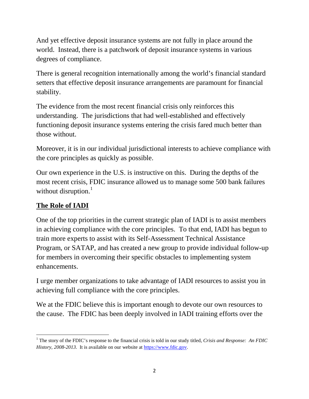And yet effective deposit insurance systems are not fully in place around the world. Instead, there is a patchwork of deposit insurance systems in various degrees of compliance.

There is general recognition internationally among the world's financial standard setters that effective deposit insurance arrangements are paramount for financial stability.

The evidence from the most recent financial crisis only reinforces this understanding. The jurisdictions that had well-established and effectively functioning deposit insurance systems entering the crisis fared much better than those without.

Moreover, it is in our individual jurisdictional interests to achieve compliance with the core principles as quickly as possible.

Our own experience in the U.S. is instructive on this. During the depths of the most recent crisis, FDIC insurance allowed us to manage some 500 bank failures without disruption.<sup>[1](#page-2-0)</sup>

# **The Role of IADI**

One of the top priorities in the current strategic plan of IADI is to assist members in achieving compliance with the core principles. To that end, IADI has begun to train more experts to assist with its Self-Assessment Technical Assistance Program, or SATAP, and has created a new group to provide individual follow-up for members in overcoming their specific obstacles to implementing system enhancements.

I urge member organizations to take advantage of IADI resources to assist you in achieving full compliance with the core principles.

We at the FDIC believe this is important enough to devote our own resources to the cause. The FDIC has been deeply involved in IADI training efforts over the

<span id="page-2-0"></span> $\overline{\phantom{a}}$ <sup>1</sup> The story of the FDIC's response to the financial crisis is told in our study titled, *Crisis and Response: An FDIC History, 2008-2013*. It is available on our website at [https://www.fdic.gov.](https://www.fdic.gov/)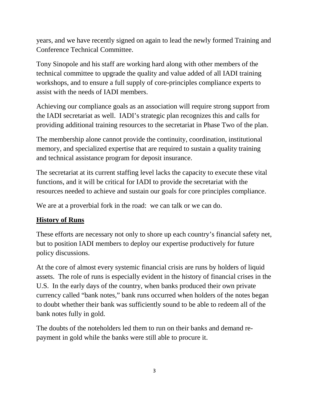years, and we have recently signed on again to lead the newly formed Training and Conference Technical Committee.

Tony Sinopole and his staff are working hard along with other members of the technical committee to upgrade the quality and value added of all IADI training workshops, and to ensure a full supply of core-principles compliance experts to assist with the needs of IADI members.

Achieving our compliance goals as an association will require strong support from the IADI secretariat as well. IADI's strategic plan recognizes this and calls for providing additional training resources to the secretariat in Phase Two of the plan.

The membership alone cannot provide the continuity, coordination, institutional memory, and specialized expertise that are required to sustain a quality training and technical assistance program for deposit insurance.

The secretariat at its current staffing level lacks the capacity to execute these vital functions, and it will be critical for IADI to provide the secretariat with the resources needed to achieve and sustain our goals for core principles compliance.

We are at a proverbial fork in the road: we can talk or we can do.

## **History of Runs**

These efforts are necessary not only to shore up each country's financial safety net, but to position IADI members to deploy our expertise productively for future policy discussions.

At the core of almost every systemic financial crisis are runs by holders of liquid assets. The role of runs is especially evident in the history of financial crises in the U.S. In the early days of the country, when banks produced their own private currency called "bank notes," bank runs occurred when holders of the notes began to doubt whether their bank was sufficiently sound to be able to redeem all of the bank notes fully in gold.

The doubts of the noteholders led them to run on their banks and demand repayment in gold while the banks were still able to procure it.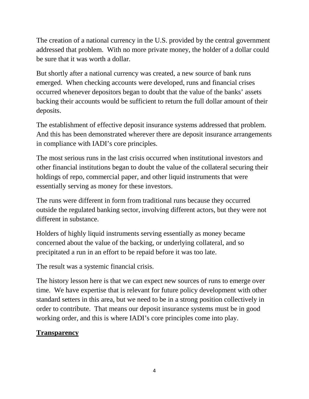The creation of a national currency in the U.S. provided by the central government addressed that problem. With no more private money, the holder of a dollar could be sure that it was worth a dollar.

But shortly after a national currency was created, a new source of bank runs emerged. When checking accounts were developed, runs and financial crises occurred whenever depositors began to doubt that the value of the banks' assets backing their accounts would be sufficient to return the full dollar amount of their deposits.

The establishment of effective deposit insurance systems addressed that problem. And this has been demonstrated wherever there are deposit insurance arrangements in compliance with IADI's core principles.

The most serious runs in the last crisis occurred when institutional investors and other financial institutions began to doubt the value of the collateral securing their holdings of repo, commercial paper, and other liquid instruments that were essentially serving as money for these investors.

The runs were different in form from traditional runs because they occurred outside the regulated banking sector, involving different actors, but they were not different in substance.

Holders of highly liquid instruments serving essentially as money became concerned about the value of the backing, or underlying collateral, and so precipitated a run in an effort to be repaid before it was too late.

The result was a systemic financial crisis.

The history lesson here is that we can expect new sources of runs to emerge over time. We have expertise that is relevant for future policy development with other standard setters in this area, but we need to be in a strong position collectively in order to contribute. That means our deposit insurance systems must be in good working order, and this is where IADI's core principles come into play.

#### **Transparency**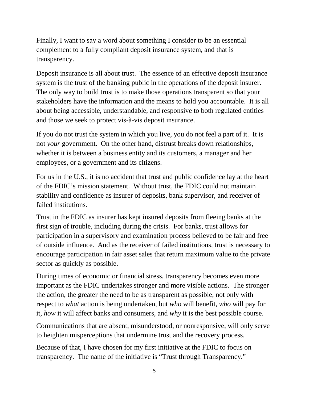Finally, I want to say a word about something I consider to be an essential complement to a fully compliant deposit insurance system, and that is transparency.

Deposit insurance is all about trust. The essence of an effective deposit insurance system is the trust of the banking public in the operations of the deposit insurer. The only way to build trust is to make those operations transparent so that your stakeholders have the information and the means to hold you accountable. It is all about being accessible, understandable, and responsive to both regulated entities and those we seek to protect vis-à-vis deposit insurance.

If you do not trust the system in which you live, you do not feel a part of it. It is not *your* government. On the other hand, distrust breaks down relationships, whether it is between a business entity and its customers, a manager and her employees, or a government and its citizens.

For us in the U.S., it is no accident that trust and public confidence lay at the heart of the FDIC's mission statement. Without trust, the FDIC could not maintain stability and confidence as insurer of deposits, bank supervisor, and receiver of failed institutions.

Trust in the FDIC as insurer has kept insured deposits from fleeing banks at the first sign of trouble, including during the crisis. For banks, trust allows for participation in a supervisory and examination process believed to be fair and free of outside influence. And as the receiver of failed institutions, trust is necessary to encourage participation in fair asset sales that return maximum value to the private sector as quickly as possible.

During times of economic or financial stress, transparency becomes even more important as the FDIC undertakes stronger and more visible actions. The stronger the action, the greater the need to be as transparent as possible, not only with respect to *what* action is being undertaken, but *who* will benefit, *who* will pay for it, *how* it will affect banks and consumers, and *why* it is the best possible course.

Communications that are absent, misunderstood, or nonresponsive, will only serve to heighten misperceptions that undermine trust and the recovery process.

Because of that, I have chosen for my first initiative at the FDIC to focus on transparency. The name of the initiative is "Trust through Transparency."